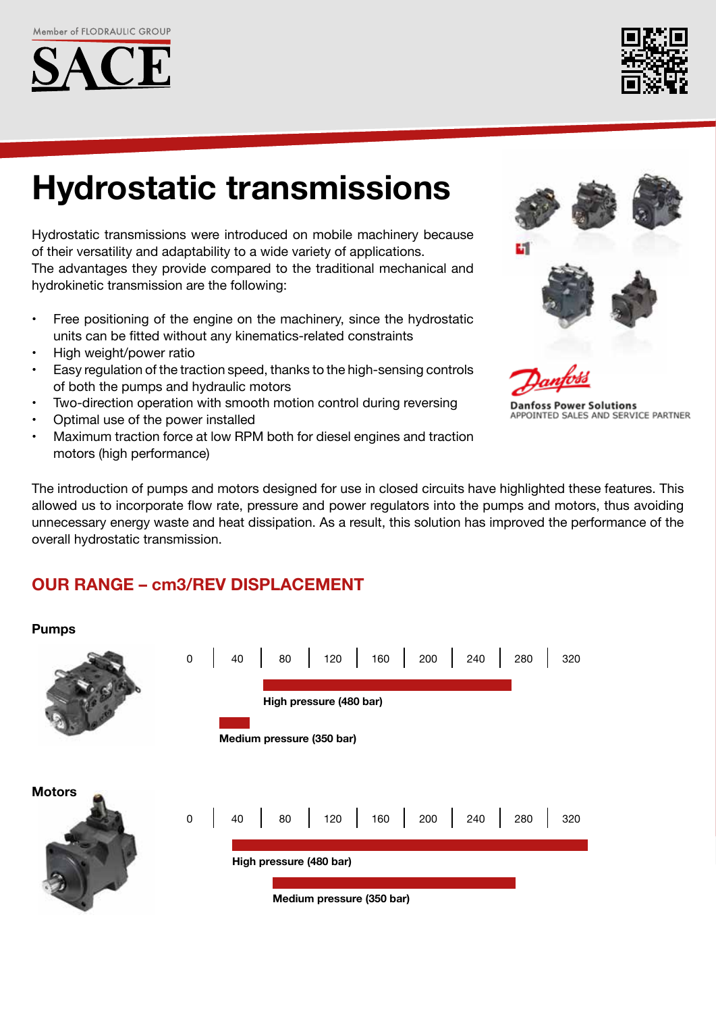



# **Hydrostatic transmissions**

Hydrostatic transmissions were introduced on mobile machinery because of their versatility and adaptability to a wide variety of applications. The advantages they provide compared to the traditional mechanical and hydrokinetic transmission are the following:

- Free positioning of the engine on the machinery, since the hydrostatic units can be fitted without any kinematics-related constraints
- High weight/power ratio
- Easy regulation of the traction speed, thanks to the high-sensing controls of both the pumps and hydraulic motors
- Two-direction operation with smooth motion control during reversing
- Optimal use of the power installed
- Maximum traction force at low RPM both for diesel engines and traction motors (high performance)





**Danfoss Power Solutions** APPOINTED SALES AND SERVICE PARTNER

The introduction of pumps and motors designed for use in closed circuits have highlighted these features. This allowed us to incorporate flow rate, pressure and power regulators into the pumps and motors, thus avoiding unnecessary energy waste and heat dissipation. As a result, this solution has improved the performance of the overall hydrostatic transmission.

# **OUR RANGE – cm3/REV DISPLACEMENT**

### **Pumps**

|               |                                                      |  |  |  |  |  |  |  |  |  |  |  |  |  | 0 40 80 120 160 200 240 280               |  | 320 |
|---------------|------------------------------------------------------|--|--|--|--|--|--|--|--|--|--|--|--|--|-------------------------------------------|--|-----|
|               | High pressure (480 bar)<br>Medium pressure (350 bar) |  |  |  |  |  |  |  |  |  |  |  |  |  |                                           |  |     |
|               |                                                      |  |  |  |  |  |  |  |  |  |  |  |  |  |                                           |  |     |
| <b>Motors</b> |                                                      |  |  |  |  |  |  |  |  |  |  |  |  |  | 0   40   80   120   160   200   240   280 |  | 320 |
|               | High pressure (480 bar)                              |  |  |  |  |  |  |  |  |  |  |  |  |  |                                           |  |     |
|               | Medium pressure (350 bar)                            |  |  |  |  |  |  |  |  |  |  |  |  |  |                                           |  |     |